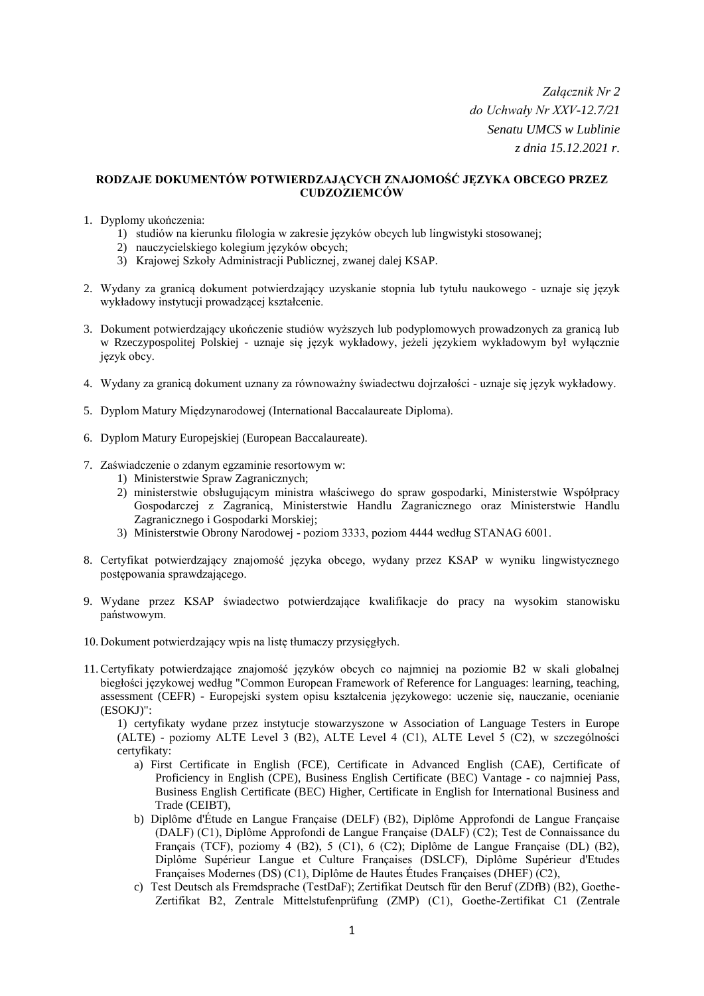*Załącznik Nr 2 do Uchwały Nr XXV-12.7/21 Senatu UMCS w Lublinie z dnia 15.12.2021 r.*

## **RODZAJE DOKUMENTÓW POTWIERDZAJĄCYCH ZNAJOMOŚĆ JĘZYKA OBCEGO PRZEZ CUDZOZIEMCÓW**

- 1. Dyplomy ukończenia:
	- 1) studiów na kierunku filologia w zakresie języków obcych lub lingwistyki stosowanej;
	- 2) nauczycielskiego kolegium języków obcych;
	- 3) Krajowej Szkoły Administracji Publicznej, zwanej dalej KSAP.
- 2. Wydany za granicą dokument potwierdzający uzyskanie stopnia lub tytułu naukowego uznaje się język wykładowy instytucji prowadzącej kształcenie.
- 3. Dokument potwierdzający ukończenie studiów wyższych lub podyplomowych prowadzonych za granicą lub w Rzeczypospolitej Polskiej - uznaje się język wykładowy, jeżeli językiem wykładowym był wyłącznie język obcy.
- 4. Wydany za granicą dokument uznany za równoważny świadectwu dojrzałości uznaje się język wykładowy.
- 5. Dyplom Matury Międzynarodowej (International Baccalaureate Diploma).
- 6. Dyplom Matury Europejskiej (European Baccalaureate).
- 7. Zaświadczenie o zdanym egzaminie resortowym w:
	- 1) Ministerstwie Spraw Zagranicznych;
	- 2) ministerstwie obsługującym ministra właściwego do spraw gospodarki, Ministerstwie Współpracy Gospodarczej z Zagranicą, Ministerstwie Handlu Zagranicznego oraz Ministerstwie Handlu Zagranicznego i Gospodarki Morskiej;
	- 3) Ministerstwie Obrony Narodowej poziom 3333, poziom 4444 według STANAG 6001.
- 8. Certyfikat potwierdzający znajomość języka obcego, wydany przez KSAP w wyniku lingwistycznego postępowania sprawdzającego.
- 9. Wydane przez KSAP świadectwo potwierdzające kwalifikacje do pracy na wysokim stanowisku państwowym.
- 10. Dokument potwierdzający wpis na listę tłumaczy przysięgłych.
- 11.Certyfikaty potwierdzające znajomość języków obcych co najmniej na poziomie B2 w skali globalnej biegłości językowej według "Common European Framework of Reference for Languages: learning, teaching, assessment (CEFR) - Europejski system opisu kształcenia językowego: uczenie się, nauczanie, ocenianie (ESOKJ)":

1) certyfikaty wydane przez instytucje stowarzyszone w Association of Language Testers in Europe (ALTE) - poziomy ALTE Level 3 (B2), ALTE Level 4 (C1), ALTE Level 5 (C2), w szczególności certyfikaty:

- a) First Certificate in English (FCE), Certificate in Advanced English (CAE), Certificate of Proficiency in English (CPE), Business English Certificate (BEC) Vantage - co najmniej Pass, Business English Certificate (BEC) Higher, Certificate in English for International Business and Trade (CEIBT),
- b) Diplôme d'Étude en Langue Française (DELF) (B2), Diplôme Approfondi de Langue Française (DALF) (C1), Diplôme Approfondi de Langue Française (DALF) (C2); Test de Connaissance du Français (TCF), poziomy 4 (B2), 5 (C1), 6 (C2); Diplôme de Langue Française (DL) (B2), Diplôme Supérieur Langue et Culture Françaises (DSLCF), Diplôme Supérieur d'Etudes Françaises Modernes (DS) (C1), Diplôme de Hautes Études Françaises (DHEF) (C2),
- c) Test Deutsch als Fremdsprache (TestDaF); Zertifikat Deutsch für den Beruf (ZDfB) (B2), Goethe-Zertifikat B2, Zentrale Mittelstufenprüfung (ZMP) (C1), Goethe-Zertifikat C1 (Zentrale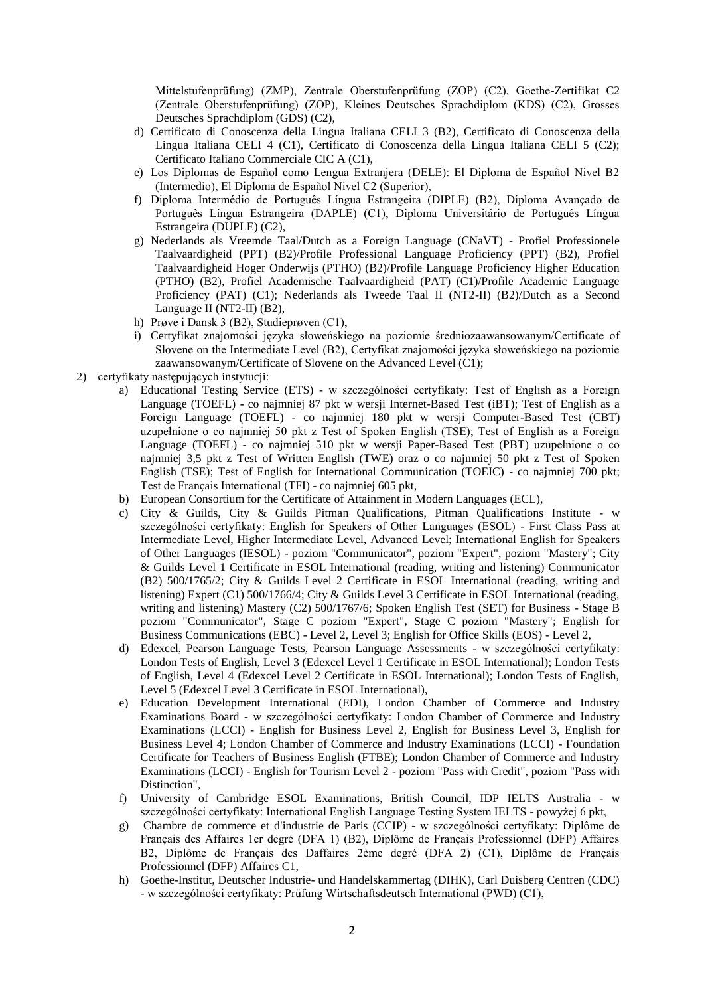Mittelstufenprüfung) (ZMP), Zentrale Oberstufenprüfung (ZOP) (C2), Goethe-Zertifikat C2 (Zentrale Oberstufenprüfung) (ZOP), Kleines Deutsches Sprachdiplom (KDS) (C2), Grosses Deutsches Sprachdiplom (GDS) (C2),

- d) Certificato di Conoscenza della Lingua Italiana CELI 3 (B2), Certificato di Conoscenza della Lingua Italiana CELI 4 (C1), Certificato di Conoscenza della Lingua Italiana CELI 5 (C2); Certificato Italiano Commerciale CIC A (C1),
- e) Los Diplomas de Español como Lengua Extranjera (DELE): El Diploma de Español Nivel B2 (Intermedio), El Diploma de Español Nivel C2 (Superior),
- f) Diploma Intermédio de Português Língua Estrangeira (DIPLE) (B2), Diploma Avançado de Português Língua Estrangeira (DAPLE) (C1), Diploma Universitário de Português Língua Estrangeira (DUPLE) (C2),
- g) Nederlands als Vreemde Taal/Dutch as a Foreign Language (CNaVT) Profiel Professionele Taalvaardigheid (PPT) (B2)/Profile Professional Language Proficiency (PPT) (B2), Profiel Taalvaardigheid Hoger Onderwijs (PTHO) (B2)/Profile Language Proficiency Higher Education (PTHO) (B2), Profiel Academische Taalvaardigheid (PAT) (C1)/Profile Academic Language Proficiency (PAT) (C1); Nederlands als Tweede Taal II (NT2-II) (B2)/Dutch as a Second Language II (NT2-II) (B2),
- h) Prøve i Dansk 3 (B2), Studieprøven (C1),
- i) Certyfikat znajomości języka słoweńskiego na poziomie średniozaawansowanym/Certificate of Slovene on the Intermediate Level (B2), Certyfikat znajomości języka słoweńskiego na poziomie zaawansowanym/Certificate of Slovene on the Advanced Level (C1);
- 2) certyfikaty następujących instytucji:
	- a) Educational Testing Service (ETS) w szczególności certyfikaty: Test of English as a Foreign Language (TOEFL) - co najmniej 87 pkt w wersji Internet-Based Test (iBT); Test of English as a Foreign Language (TOEFL) - co najmniej 180 pkt w wersji Computer-Based Test (CBT) uzupełnione o co najmniej 50 pkt z Test of Spoken English (TSE); Test of English as a Foreign Language (TOEFL) - co najmniej 510 pkt w wersji Paper-Based Test (PBT) uzupełnione o co najmniej 3,5 pkt z Test of Written English (TWE) oraz o co najmniej 50 pkt z Test of Spoken English (TSE); Test of English for International Communication (TOEIC) - co najmniej 700 pkt; Test de Français International (TFI) - co najmniej 605 pkt,
	- b) European Consortium for the Certificate of Attainment in Modern Languages (ECL),
	- c) City & Guilds, City & Guilds Pitman Qualifications, Pitman Qualifications Institute w szczególności certyfikaty: English for Speakers of Other Languages (ESOL) - First Class Pass at Intermediate Level, Higher Intermediate Level, Advanced Level; International English for Speakers of Other Languages (IESOL) - poziom "Communicator", poziom "Expert", poziom "Mastery"; City & Guilds Level 1 Certificate in ESOL International (reading, writing and listening) Communicator (B2) 500/1765/2; City & Guilds Level 2 Certificate in ESOL International (reading, writing and listening) Expert (C1) 500/1766/4; City & Guilds Level 3 Certificate in ESOL International (reading, writing and listening) Mastery (C2) 500/1767/6; Spoken English Test (SET) for Business - Stage B poziom "Communicator", Stage C poziom "Expert", Stage C poziom "Mastery"; English for Business Communications (EBC) - Level 2, Level 3; English for Office Skills (EOS) - Level 2,
	- d) Edexcel, Pearson Language Tests, Pearson Language Assessments w szczególności certyfikaty: London Tests of English, Level 3 (Edexcel Level 1 Certificate in ESOL International); London Tests of English, Level 4 (Edexcel Level 2 Certificate in ESOL International); London Tests of English, Level 5 (Edexcel Level 3 Certificate in ESOL International),
	- e) Education Development International (EDI), London Chamber of Commerce and Industry Examinations Board - w szczególności certyfikaty: London Chamber of Commerce and Industry Examinations (LCCI) - English for Business Level 2, English for Business Level 3, English for Business Level 4; London Chamber of Commerce and Industry Examinations (LCCI) - Foundation Certificate for Teachers of Business English (FTBE); London Chamber of Commerce and Industry Examinations (LCCI) - English for Tourism Level 2 - poziom "Pass with Credit", poziom "Pass with Distinction",
	- f) University of Cambridge ESOL Examinations, British Council, IDP IELTS Australia w szczególności certyfikaty: International English Language Testing System IELTS - powyżej 6 pkt,
	- g) Chambre de commerce et d'industrie de Paris (CCIP) w szczególności certyfikaty: Diplôme de Français des Affaires 1er degré (DFA 1) (B2), Diplôme de Français Professionnel (DFP) Affaires B2, Diplôme de Français des Daffaires 2ème degré (DFA 2) (C1), Diplôme de Français Professionnel (DFP) Affaires C1,
	- h) Goethe-Institut, Deutscher Industrie- und Handelskammertag (DIHK), Carl Duisberg Centren (CDC) - w szczególności certyfikaty: Prüfung Wirtschaftsdeutsch International (PWD) (C1),